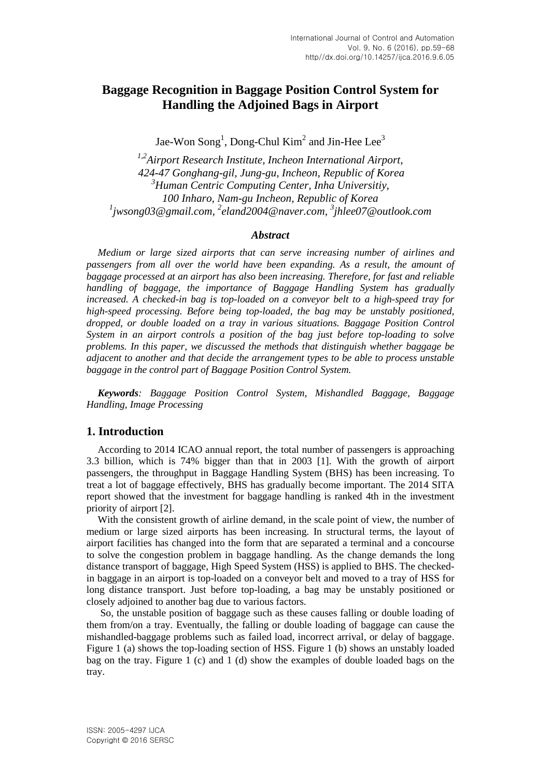# **Baggage Recognition in Baggage Position Control System for Handling the Adjoined Bags in Airport**

Jae-Won Song<sup>1</sup>, Dong-Chul  $Kim<sup>2</sup>$  and Jin-Hee Lee<sup>3</sup>

*1,2Airport Research Institute, Incheon International Airport, 424-47 Gonghang-gil, Jung-gu, Incheon, Republic of Korea <sup>3</sup>Human Centric Computing Center, Inha Universitiy, 100 Inharo, Nam-gu Incheon, Republic of Korea 1 [jwsong03@gmail.com,](mailto:Jwsong03@gmail.com) 2 [eland2004@naver.com,](mailto:eland2004@naver.com) 3 [jhlee07@outlook.com](mailto:jhlee07@outlook.com)*

#### *Abstract*

*Medium or large sized airports that can serve increasing number of airlines and passengers from all over the world have been expanding. As a result, the amount of baggage processed at an airport has also been increasing. Therefore, for fast and reliable handling of baggage, the importance of Baggage Handling System has gradually increased. A checked-in bag is top-loaded on a conveyor belt to a high-speed tray for high-speed processing. Before being top-loaded, the bag may be unstably positioned, dropped, or double loaded on a tray in various situations. Baggage Position Control System in an airport controls a position of the bag just before top-loading to solve problems. In this paper, we discussed the methods that distinguish whether baggage be adjacent to another and that decide the arrangement types to be able to process unstable baggage in the control part of Baggage Position Control System.*

*Keywords: Baggage Position Control System, Mishandled Baggage, Baggage Handling, Image Processing*

#### **1. Introduction**

According to 2014 ICAO annual report, the total number of passengers is approaching 3.3 billion, which is 74% bigger than that in 2003 [1]. With the growth of airport passengers, the throughput in Baggage Handling System (BHS) has been increasing. To treat a lot of baggage effectively, BHS has gradually become important. The 2014 SITA report showed that the investment for baggage handling is ranked 4th in the investment priority of airport [2].

With the consistent growth of airline demand, in the scale point of view, the number of medium or large sized airports has been increasing. In structural terms, the layout of airport facilities has changed into the form that are separated a terminal and a concourse to solve the congestion problem in baggage handling. As the change demands the long distance transport of baggage, High Speed System (HSS) is applied to BHS. The checkedin baggage in an airport is top-loaded on a conveyor belt and moved to a tray of HSS for long distance transport. Just before top-loading, a bag may be unstably positioned or closely adjoined to another bag due to various factors.

So, the unstable position of baggage such as these causes falling or double loading of them from/on a tray. Eventually, the falling or double loading of baggage can cause the mishandled-baggage problems such as failed load, incorrect arrival, or delay of baggage. Figure 1 (a) shows the top-loading section of HSS. Figure 1 (b) shows an unstably loaded bag on the tray. Figure 1 (c) and 1 (d) show the examples of double loaded bags on the tray.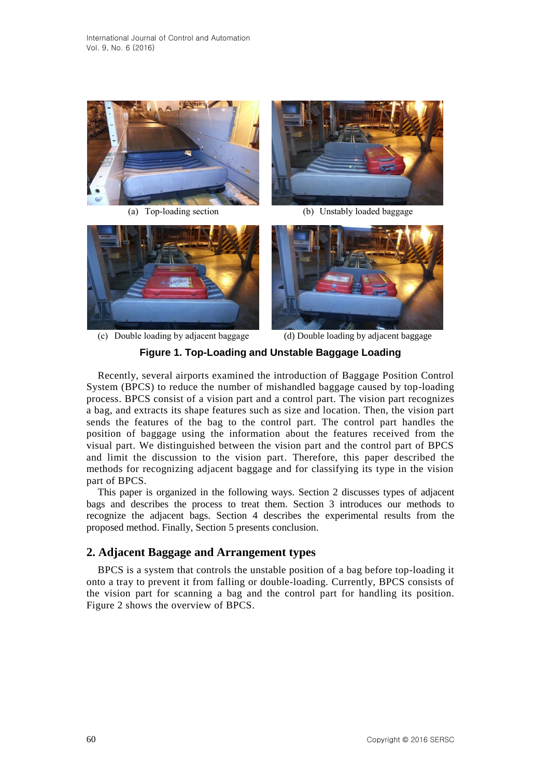

(a) Top-loading section (b) Unstably loaded baggage





(c) Double loading by adjacent baggage (d) Double loading by adjacent baggage

### **Figure 1. Top-Loading and Unstable Baggage Loading**

Recently, several airports examined the introduction of Baggage Position Control System (BPCS) to reduce the number of mishandled baggage caused by top-loading process. BPCS consist of a vision part and a control part. The vision part recognizes a bag, and extracts its shape features such as size and location. Then, the vision part sends the features of the bag to the control part. The control part handles the position of baggage using the information about the features received from the visual part. We distinguished between the vision part and the control part of BPCS and limit the discussion to the vision part. Therefore, this paper described the methods for recognizing adjacent baggage and for classifying its type in the vision part of BPCS.

This paper is organized in the following ways. Section 2 discusses types of adjacent bags and describes the process to treat them. Section 3 introduces our methods to recognize the adjacent bags. Section 4 describes the experimental results from the proposed method. Finally, Section 5 presents conclusion.

## **2. Adjacent Baggage and Arrangement types**

BPCS is a system that controls the unstable position of a bag before top-loading it onto a tray to prevent it from falling or double-loading. Currently, BPCS consists of the vision part for scanning a bag and the control part for handling its position. Figure 2 shows the overview of BPCS.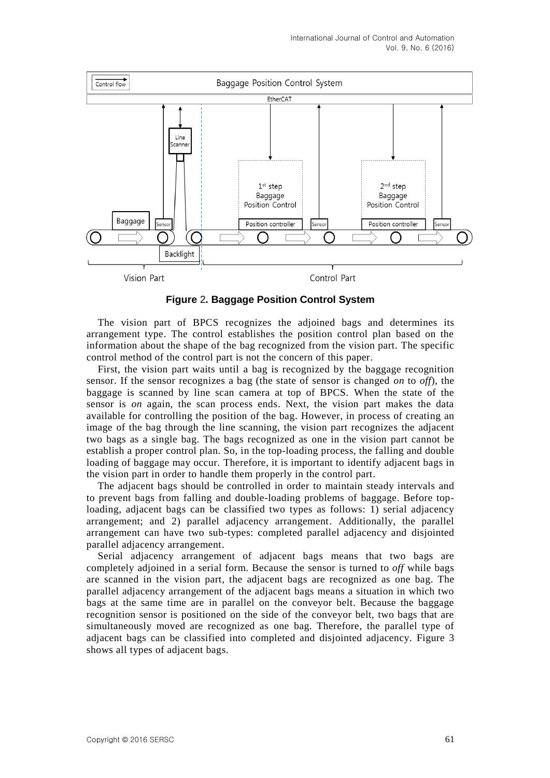

**Figure** 2**. Baggage Position Control System**

The vision part of BPCS recognizes the adjoined bags and determines its arrangement type. The control establishes the position control plan based on the information about the shape of the bag recognized from the vision part. The specific control method of the control part is not the concern of this paper.

First, the vision part waits until a bag is recognized by the baggage recognition sensor. If the sensor recognizes a bag (the state of sensor is changed *on* to *off*), the baggage is scanned by line scan camera at top of BPCS. When the state of the sensor is *on* again, the scan process ends. Next, the vision part makes the data available for controlling the position of the bag. However, in process of creating an image of the bag through the line scanning, the vision part recognizes the adjacent two bags as a single bag. The bags recognized as one in the vision part cannot be establish a proper control plan. So, in the top-loading process, the falling and double loading of baggage may occur. Therefore, it is important to identify adjacent bags in the vision part in order to handle them properly in the control part.

The adjacent bags should be controlled in order to maintain steady intervals and to prevent bags from falling and double-loading problems of baggage. Before toploading, adjacent bags can be classified two types as follows: 1) serial adjacency arrangement; and 2) parallel adjacency arrangement. Additionally, the parallel arrangement can have two sub-types: completed parallel adjacency and disjointed parallel adjacency arrangement.

Serial adjacency arrangement of adjacent bags means that two bags are completely adjoined in a serial form. Because the sensor is turned to *off* while bags are scanned in the vision part, the adjacent bags are recognized as one bag. The parallel adjacency arrangement of the adjacent bags means a situation in which two bags at the same time are in parallel on the conveyor belt. Because the baggage recognition sensor is positioned on the side of the conveyor belt, two bags that are simultaneously moved are recognized as one bag. Therefore, the parallel type of adjacent bags can be classified into completed and disjointed adjacency. Figure 3 shows all types of adjacent bags.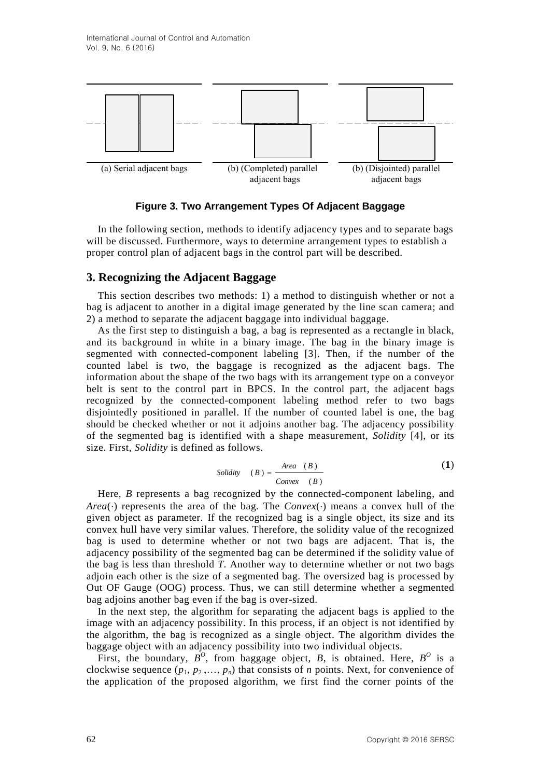

**Figure 3. Two Arrangement Types Of Adjacent Baggage**

In the following section, methods to identify adjacency types and to separate bags will be discussed. Furthermore, ways to determine arrangement types to establish a proper control plan of adjacent bags in the control part will be described.

### **3. Recognizing the Adjacent Baggage**

This section describes two methods: 1) a method to distinguish whether or not a bag is adjacent to another in a digital image generated by the line scan camera; and 2) a method to separate the adjacent baggage into individual baggage.

As the first step to distinguish a bag, a bag is represented as a rectangle in black, and its background in white in a binary image. The bag in the binary image is segmented with connected-component labeling [3]. Then, if the number of the counted label is two, the baggage is recognized as the adjacent bags. The information about the shape of the two bags with its arrangement type on a conveyor belt is sent to the control part in BPCS. In the control part, the adjacent bags recognized by the connected-component labeling method refer to two bags disjointedly positioned in parallel. If the number of counted label is one, the bag should be checked whether or not it adjoins another bag. The adjacency possibility of the segmented bag is identified with a shape measurement, *Solidity* [4], or its size. First, *Solidity* is defined as follows.

Solidity

\n
$$
(B) = \frac{Area \quad (B)}{Convex \quad (B)}
$$
\n(1)

Here, *B* represents a bag recognized by the connected-component labeling, and *Area*( $\cdot$ ) represents the area of the bag. The *Convex*( $\cdot$ ) means a convex hull of the given object as parameter. If the recognized bag is a single object, its size and its convex hull have very similar values. Therefore, the solidity value of the recognized bag is used to determine whether or not two bags are adjacent. That is, the adjacency possibility of the segmented bag can be determined if the solidity value of the bag is less than threshold *T*. Another way to determine whether or not two bags adjoin each other is the size of a segmented bag. The oversized bag is processed by Out OF Gauge (OOG) process. Thus, we can still determine whether a segmented bag adjoins another bag even if the bag is over-sized.

In the next step, the algorithm for separating the adjacent bags is applied to the image with an adjacency possibility. In this process, if an object is not identified by the algorithm, the bag is recognized as a single object. The algorithm divides the baggage object with an adjacency possibility into two individual objects.

First, the boundary,  $B^O$ , from baggage object, *B*, is obtained. Here,  $B^O$  is a clockwise sequence  $(p_1, p_2, \ldots, p_n)$  that consists of *n* points. Next, for convenience of the application of the proposed algorithm, we first find the corner points of the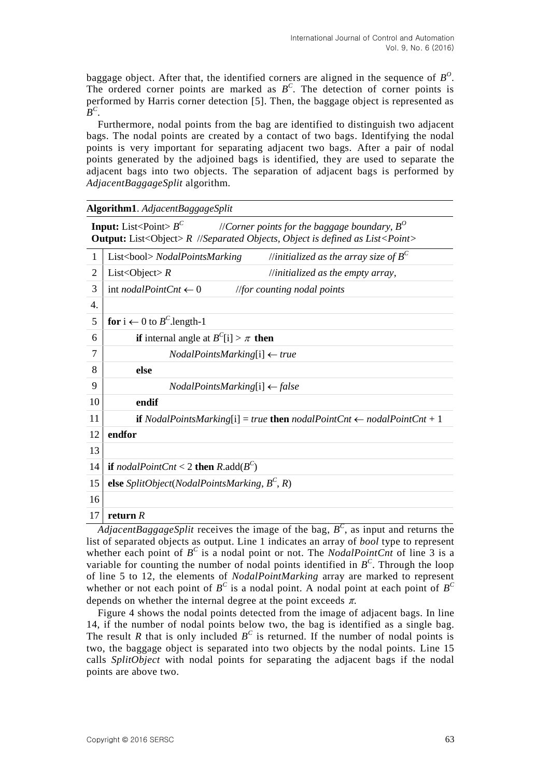baggage object. After that, the identified corners are aligned in the sequence of  $B^0$ . The ordered corner points are marked as  $B^C$ . The detection of corner points is performed by Harris corner detection [5]. Then, the baggage object is represented as  $B^C$ .

Furthermore, nodal points from the bag are identified to distinguish two adjacent bags. The nodal points are created by a contact of two bags. Identifying the nodal points is very important for separating adjacent two bags. After a pair of nodal points generated by the adjoined bags is identified, they are used to separate the adjacent bags into two objects. The separation of adjacent bags is performed by *AdjacentBaggageSplit* algorithm.

| Algorithm1. AdjacentBaggageSplit |
|----------------------------------|
|----------------------------------|

**Input:** List<Point> $B^C$  //*Corner points for the baggage boundary, B<sup>O</sup>* **Output:** List<Object> *R* //*Separated Objects, Object is defined as List<Point>*

| 1  | //initialized as the array size of $B^C$<br>List<br>bool> NodalPointsMarking                       |  |  |  |  |
|----|----------------------------------------------------------------------------------------------------|--|--|--|--|
| 2  | List <object> <math>R</math><br/><math>\frac{1}{1}</math> initialized as the empty array,</object> |  |  |  |  |
| 3  | int <i>nodalPointCnt</i> $\leftarrow 0$<br>$\ell$ //for counting nodal points                      |  |  |  |  |
| 4. |                                                                                                    |  |  |  |  |
| 5  | for $i \leftarrow 0$ to $B^C$ .length-1                                                            |  |  |  |  |
| 6  | <b>if</b> internal angle at $B^{C}[i] > \pi$ <b>then</b>                                           |  |  |  |  |
| 7  | $NodalPointsMarking[i] \leftarrow true$                                                            |  |  |  |  |
| 8  | else                                                                                               |  |  |  |  |
| 9  | $NodalPointsMarking[i] \leftarrow false$                                                           |  |  |  |  |
| 10 | endif                                                                                              |  |  |  |  |
| 11 | <b>if</b> NodalPointsMarking[i] = true <b>then</b> nodalPointCnt $\leftarrow$ nodalPointCnt + 1    |  |  |  |  |
| 12 | endfor                                                                                             |  |  |  |  |
| 13 |                                                                                                    |  |  |  |  |
| 14 | <b>if</b> nodalPointCnt < 2 <b>then</b> R.add( $B^C$ )                                             |  |  |  |  |
| 15 | else SplitObject(NodalPointsMarking, $B^C$ , R)                                                    |  |  |  |  |
| 16 |                                                                                                    |  |  |  |  |
| 17 | return $R$                                                                                         |  |  |  |  |

*AdjacentBaggageSplit* receives the image of the bag,  $B^C$ , as input and returns the list of separated objects as output. Line 1 indicates an array of *bool* type to represent whether each point of  $B^C$  is a nodal point or not. The *NodalPointCnt* of line 3 is a variable for counting the number of nodal points identified in  $B^C$ . Through the loop of line 5 to 12, the elements of *NodalPointMarking* array are marked to represent whether or not each point of  $B^C$  is a nodal point. A nodal point at each point of  $B^C$ depends on whether the internal degree at the point exceeds  $\pi$ .

Figure 4 shows the nodal points detected from the image of adjacent bags. In line 14, if the number of nodal points below two, the bag is identified as a single bag. The result *R* that is only included  $B^C$  is returned. If the number of nodal points is two, the baggage object is separated into two objects by the nodal points. Line 15 calls *SplitObject* with nodal points for separating the adjacent bags if the nodal points are above two.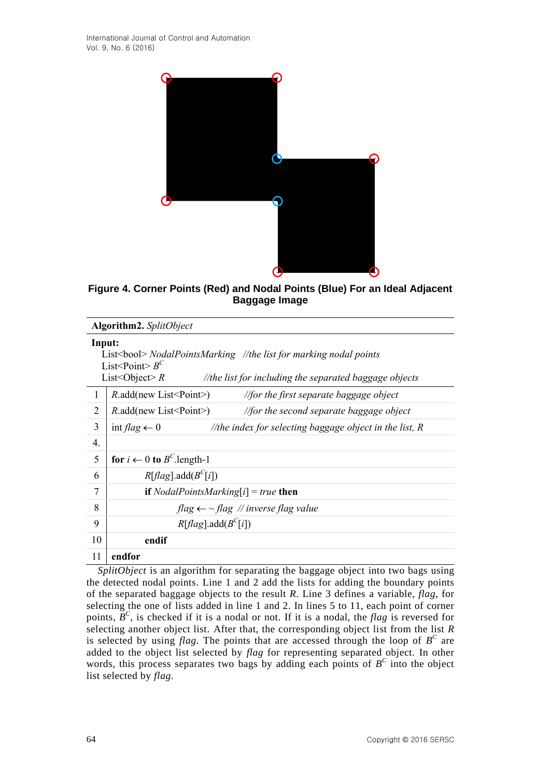

**Figure 4. Corner Points (Red) and Nodal Points (Blue) For an Ideal Adjacent Baggage Image**

| Algorithm2. SplitObject                                                                                                                                                                                                        |                                                                                               |  |  |  |  |  |
|--------------------------------------------------------------------------------------------------------------------------------------------------------------------------------------------------------------------------------|-----------------------------------------------------------------------------------------------|--|--|--|--|--|
| Input:<br>List<br>bool> NodalPointsMarking //the list for marking nodal points<br>List <point><math>B^C</math><br/>List<object> <math>R</math><br>//the list for including the separated baggage objects</br></object></point> |                                                                                               |  |  |  |  |  |
| 1                                                                                                                                                                                                                              | $R$ .add(new List < Point > )<br><i>Afor the first separate baggage object</i>                |  |  |  |  |  |
| $\overline{2}$                                                                                                                                                                                                                 | $R$ .add(new List < Point > )<br>$\mathcal{C}/\mathcal{C}$ the second separate baggage object |  |  |  |  |  |
| 3                                                                                                                                                                                                                              | int flag $\leftarrow 0$<br>//the index for selecting baggage object in the list, $R$          |  |  |  |  |  |
| 4.                                                                                                                                                                                                                             |                                                                                               |  |  |  |  |  |
| 5                                                                                                                                                                                                                              | for $i \leftarrow 0$ to $B^C$ . length-1                                                      |  |  |  |  |  |
| 6                                                                                                                                                                                                                              | R[flag].add(B <sup>C</sup> [i])                                                               |  |  |  |  |  |
| 7                                                                                                                                                                                                                              | <b>if</b> <i>NodalPointsMarking[i]</i> = <i>true</i> <b>then</b>                              |  |  |  |  |  |
| 8                                                                                                                                                                                                                              | $flag \leftarrow \sim flag$ // inverse flag value                                             |  |  |  |  |  |
| 9                                                                                                                                                                                                                              | R[flag].add(B <sup>C</sup> [i])                                                               |  |  |  |  |  |
| 10                                                                                                                                                                                                                             | endif                                                                                         |  |  |  |  |  |
| 11                                                                                                                                                                                                                             | endfor                                                                                        |  |  |  |  |  |

*SplitObject* is an algorithm for separating the baggage object into two bags using the detected nodal points. Line 1 and 2 add the lists for adding the boundary points of the separated baggage objects to the result *R*. Line 3 defines a variable, *flag*, for selecting the one of lists added in line 1 and 2. In lines 5 to 11, each point of corner points,  $B^C$ , is checked if it is a nodal or not. If it is a nodal, the *flag* is reversed for selecting another object list. After that, the corresponding object list from the list *R* is selected by using *flag*. The points that are accessed through the loop of  $B^C$  are added to the object list selected by *flag* for representing separated object. In other words, this process separates two bags by adding each points of  $B^C$  into the object list selected by *flag*.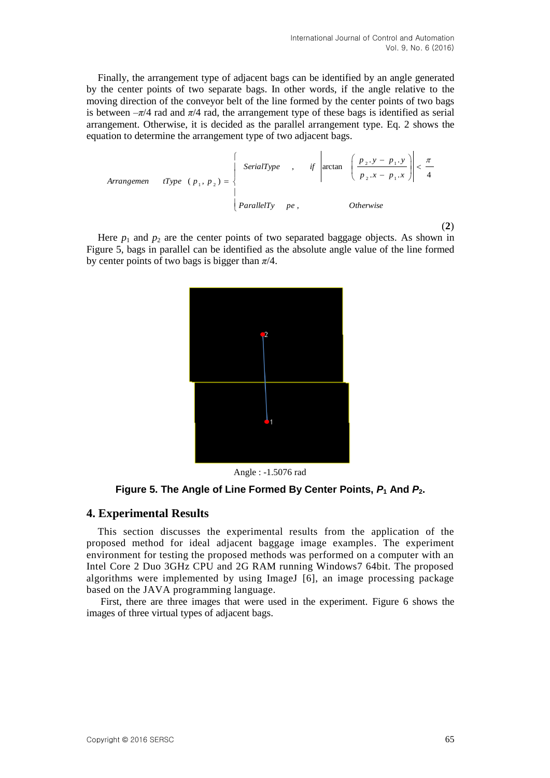Finally, the arrangement type of adjacent bags can be identified by an angle generated by the center points of two separate bags. In other words, if the angle relative to the moving direction of the conveyor belt of the line formed by the center points of two bags is between  $-\pi/4$  rad and  $\pi/4$  rad, the arrangement type of these bags is identified as serial arrangement. Otherwise, it is decided as the parallel arrangement type. Eq. 2 shows the equation to determine the arrangement type of two adjacent bags.

Array

\nArray

\n
$$
x = \n\begin{cases}\n\text{SerialType} & \text{if } x = \frac{p_2 \cdot y - p_1 \cdot y}{p_2 \cdot x - p_1 \cdot x} \\
\text{BesselType} & \text{if } x = \frac{p_2 \cdot y - p_1 \cdot y}{p_2 \cdot x - p_1 \cdot x}\n\end{cases}
$$
\nArray

\n
$$
x = \n\begin{cases}\n\text{BraidType} & \text{if } x = \frac{p_2 \cdot y - p_1 \cdot y}{p_2 \cdot x - p_1 \cdot x} \\
\text{BesselType} & \text{if } x = \frac{p_2 \cdot y - p_1 \cdot y}{p_2 \cdot x - p_1 \cdot x}\n\end{cases}
$$
\nArray

(**2**)

Here  $p_1$  and  $p_2$  are the center points of two separated baggage objects. As shown in Figure 5, bags in parallel can be identified as the absolute angle value of the line formed by center points of two bags is bigger than  $\pi/4$ .



Angle : -1.5076 rad

**Figure 5. The Angle of Line Formed By Center Points,** *P***<sup>1</sup> And** *P***2.**

#### **4. Experimental Results**

This section discusses the experimental results from the application of the proposed method for ideal adjacent baggage image examples. The experiment environment for testing the proposed methods was performed on a computer with an Intel Core 2 Duo 3GHz CPU and 2G RAM running Windows7 64bit. The proposed algorithms were implemented by using ImageJ [6], an image processing package based on the JAVA programming language.

First, there are three images that were used in the experiment. Figure 6 shows the images of three virtual types of adjacent bags.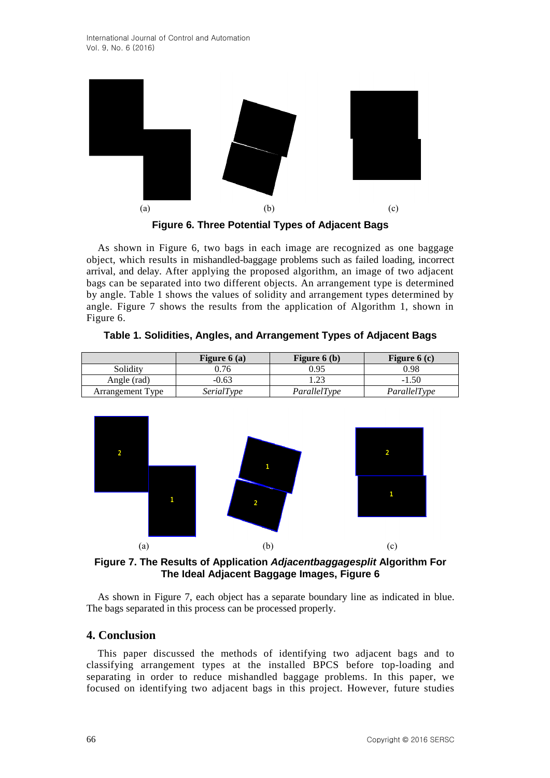



As shown in Figure 6, two bags in each image are recognized as one baggage object, which results in mishandled-baggage problems such as failed loading, incorrect arrival, and delay. After applying the proposed algorithm, an image of two adjacent bags can be separated into two different objects. An arrangement type is determined by angle. Table 1 shows the values of solidity and arrangement types determined by angle. Figure 7 shows the results from the application of Algorithm 1, shown in Figure 6.

|                         | Figure $6(a)$ | Figure $6(b)$ | Figure $6(c)$ |
|-------------------------|---------------|---------------|---------------|
| Solidity                | 9.76          | 0.95          | 0.98          |
| Angle (rad)             | $-0.63$       |               | $-1.50$       |
| <b>Arrangement Type</b> | SerialType    | ParallelType  | ParallelType  |

**Table 1. Solidities, Angles, and Arrangement Types of Adjacent Bags**



**Figure 7. The Results of Application** *Adjacentbaggagesplit* **Algorithm For The Ideal Adjacent Baggage Images, Figure 6**

As shown in Figure 7, each object has a separate boundary line as indicated in blue. The bags separated in this process can be processed properly.

### **4. Conclusion**

This paper discussed the methods of identifying two adjacent bags and to classifying arrangement types at the installed BPCS before top-loading and separating in order to reduce mishandled baggage problems. In this paper, we focused on identifying two adjacent bags in this project. However, future studies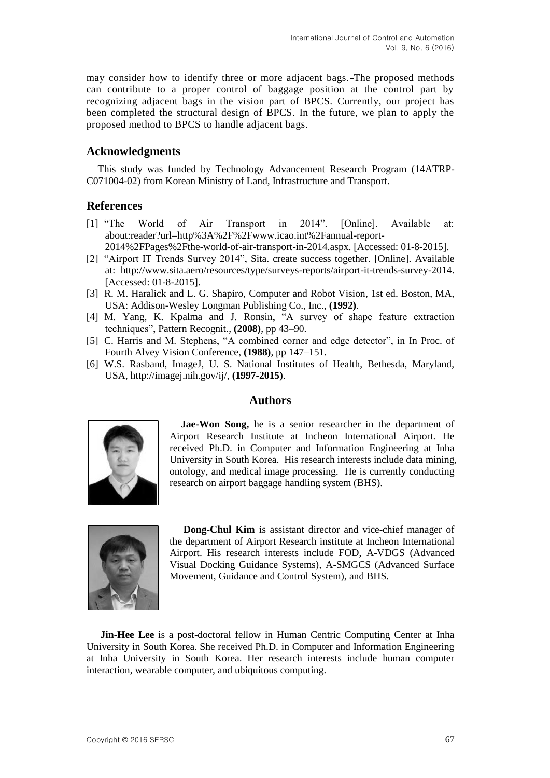may consider how to identify three or more adjacent bags. The proposed methods can contribute to a proper control of baggage position at the control part by recognizing adjacent bags in the vision part of BPCS. Currently, our project has been completed the structural design of BPCS. In the future, we plan to apply the proposed method to BPCS to handle adjacent bags.

### **Acknowledgments**

This study was funded by Technology Advancement Research Program (14ATRP-C071004-02) from Korean Ministry of Land, Infrastructure and Transport.

### **References**

- [1] "The World of Air Transport in 2014". [Online]. Available at: about:reader?url=http%3A%2F%2Fwww.icao.int%2Fannual-report-2014%2FPages%2Fthe-world-of-air-transport-in-2014.aspx. [Accessed: 01-8-2015].
- [2] "Airport IT Trends Survey 2014", Sita. create success together. [Online]. Available at: http://www.sita.aero/resources/type/surveys-reports/airport-it-trends-survey-2014. [Accessed: 01-8-2015].
- [3] R. M. Haralick and L. G. Shapiro, Computer and Robot Vision, 1st ed. Boston, MA, USA: Addison-Wesley Longman Publishing Co., Inc., **(1992)**.
- [4] M. Yang, K. Kpalma and J. Ronsin, "A survey of shape feature extraction techniques", Pattern Recognit., **(2008)**, pp 43–90.
- [5] C. Harris and M. Stephens, "A combined corner and edge detector", in In Proc. of Fourth Alvey Vision Conference, **(1988)**, pp 147–151.
- [6] W.S. Rasband, ImageJ, U. S. National Institutes of Health, Bethesda, Maryland, USA, http://imagej.nih.gov/ij/, **(1997-2015)**.

### **Authors**



**Jae-Won Song,** he is a senior researcher in the department of Airport Research Institute at Incheon International Airport. He received Ph.D. in Computer and Information Engineering at Inha University in South Korea. His research interests include data mining, ontology, and medical image processing. He is currently conducting research on airport baggage handling system (BHS).



**Dong-Chul Kim** is assistant director and vice-chief manager of the department of Airport Research institute at Incheon International Airport. His research interests include FOD, A-VDGS (Advanced Visual Docking Guidance Systems), A-SMGCS (Advanced Surface Movement, Guidance and Control System), and BHS.

**Jin-Hee Lee** is a post-doctoral fellow in Human Centric Computing Center at Inha University in South Korea. She received Ph.D. in Computer and Information Engineering at Inha University in South Korea. Her research interests include human computer interaction, wearable computer, and ubiquitous computing.